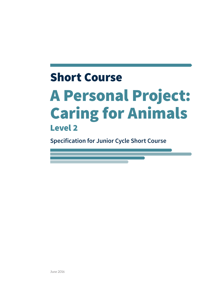## Short Course A Personal Project: Caring for Animals Level 2

**Specification for Junior Cycle Short Course**

June 2016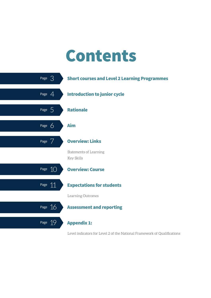# Contents



Level indicators for Level 2 of the National Framework of Qualifications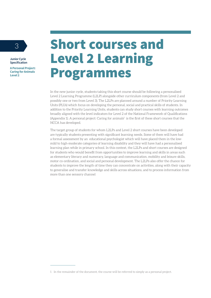**A Personal Project: Caring for Animals Level 2**

### <sup>3</sup> Short courses and Level 2 Learning Programmes

In the new junior cycle, students taking this short course should be following a personalised Level 2 Learning Programme (L2LP) alongside other curriculum components (from Level 2 and possibly one or two from Level 3). The L2LPs are planned around a number of Priority Learning Units (PLUs) which focus on developing the personal, social and practical skills of students. In addition to the Priority Learning Units, students can study short courses with learning outcomes broadly aligned with the level indicators for Level 2 of the National Framework of Qualifications (Appendix 1). A personal project: Caring for animals $^1$  is the first of these short courses that the NCCA has developed.

The target group of students for whom L2LPs and Level 2 short courses have been developed are typically students presenting with significant learning needs. Some of them will have had a formal assessment by an educational psychologist which will have placed them in the lowmild to high-moderate categories of learning disability and they will have had a personalised learning plan while in primary school. In this context, the L2LPs and short courses are designed for students who would benefit from opportunities to improve learning and skills in areas such as elementary literacy and numeracy, language and communication, mobility and leisure skills, motor co-ordination, and social and personal development. The L2LPs also offer the chance for students to improve the length of time they can concentrate on activities, along with their capacity to generalise and transfer knowledge and skills across situations, and to process information from more than one sensory channel

<sup>1</sup> In the remainder of the document, the course will be referred to simply as a personal project.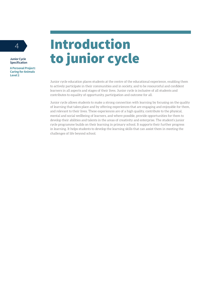**A Personal Project: Caring for Animals Level 2**

## <sup>4</sup> Introduction to junior cycle

Junior cycle education places students at the centre of the educational experience, enabling them to actively participate in their communities and in society, and to be resourceful and confident learners in all aspects and stages of their lives. Junior cycle is inclusive of all students and contributes to equality of opportunity, participation and outcome for all.

Junior cycle allows students to make a strong connection with learning by focusing on the quality of learning that takes place and by offering experiences that are engaging and enjoyable for them, and relevant to their lives. These experiences are of a high quality, contribute to the physical, mental and social wellbeing of learners, and where possible, provide opportunities for them to develop their abilities and talents in the areas of creativity and enterprise. The student's junior cycle programme builds on their learning in primary school. It supports their further progress in learning. It helps students to develop the learning skills that can assist them in meeting the challenges of life beyond school.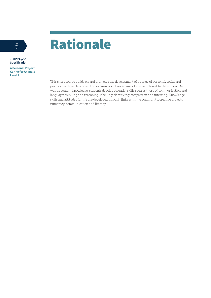

**A Personal Project: Caring for Animals Level 2**

> This short course builds on and promotes the development of a range of personal, social and practical skills in the context of learning about an animal of special interest to the student. As well as content knowledge, students develop essential skills such as those of communication and language; thinking and reasoning; labelling; classifying; comparison and inferring. Knowledge, skills and attitudes for life are developed through links with the community, creative projects, numeracy, communication and literacy.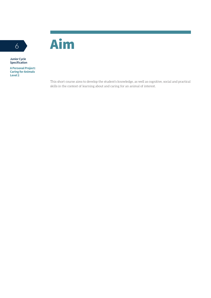



**A Personal Project: Caring for Animals Level 2**

> This short course aims to develop the student's knowledge, as well as cognitive, social and practical skills in the context of learning about and caring for an animal of interest.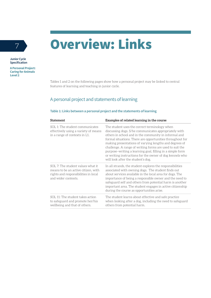## <sup>7</sup> Overview: Links



**Junior Cycle Specification**

**A Personal Project: Caring for Animals Level 2**

> Tables 1 and 2 on the following pages show how a personal project may be linked to central features of learning and teaching in junior cycle.

### A personal project and statements of learning

#### **Table 1: Links between a personal project and the statements of learning**

| <b>Statement</b>                                                                                                                        | Examples of related learning in the course                                                                                                                                                                                                                                                                                                                                                                                                                                                                        |
|-----------------------------------------------------------------------------------------------------------------------------------------|-------------------------------------------------------------------------------------------------------------------------------------------------------------------------------------------------------------------------------------------------------------------------------------------------------------------------------------------------------------------------------------------------------------------------------------------------------------------------------------------------------------------|
| SOL 1: The student communicates<br>effectively using a variety of means<br>in a range of contexts in L1.                                | The student uses the correct terminology when<br>discussing dogs. S/he communicates appropriately with<br>others in school and in the community in informal and<br>formal situations. There are opportunities throughout for<br>making presentations of varying lengths and degrees of<br>challenge. A range of writing forms are used to suit the<br>purpose-writing a learning goal, filling in a simple form<br>or writing instructions for the owner of dog kennels who<br>will look after the student's dog. |
| SOL 7: The student values what it<br>means to be an active citizen, with<br>rights and responsibilities in local<br>and wider contexts. | In all strands, the student explores the responsibilities<br>associated with owning dogs. The student finds out<br>about services available in the local area for dogs. The<br>importance of being a responsible owner and the need to<br>safeguard self and others from potential harm is another<br>important area. The student engages in active citizenship<br>during the course as opportunities arise.                                                                                                      |
| SOL 11: The student takes action<br>to safeguard and promote her/his<br>wellbeing and that of others.                                   | The student learns about effective and safe practice<br>when looking after a dog, including the need to safeguard<br>others from potential harm.                                                                                                                                                                                                                                                                                                                                                                  |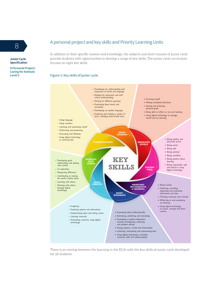### 8 A personal project and key skills and Priority Learning Units

**Junior Cycle Specification**

**A Personal Project: Caring for Animals Level 2**

In addition to their specific content and knowledge, the subjects and short courses of junior cycle provide students with opportunities to develop a range of key skills. The junior cycle curriculum focuses on eight key skills.

### **Figure 1: Key skills of junior cycle Key Skills** of Junior Cycle



There is an overlap between the learning in the PLUs with the key skills of junior cycle developed for all students.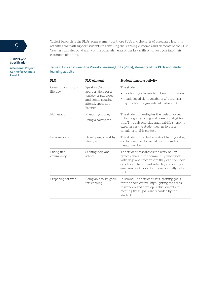

**A Personal Project: Caring for Animals Level 2**

Table 2 below lists the PLUs, some elements of those PLUs and the sorts of associated learning activities that will support students in achieving the learning outcomes and elements of the PLUs. Teachers can also build many of the other elements of the key skills of junior cycle into their classroom planning.

#### **Table 2: Links between the Priority Learning Units (PLUs), elements of the PLUs and student learning activity**

| <b>PLU</b>                    | PLU element                                                                                                           | <b>Student learning activity</b>                                                                                                                                                                                                           |
|-------------------------------|-----------------------------------------------------------------------------------------------------------------------|--------------------------------------------------------------------------------------------------------------------------------------------------------------------------------------------------------------------------------------------|
| Communicating and<br>literacy | Speaking/signing<br>appropriately for a<br>variety of purposes<br>and demonstrating<br>attentiveness as a<br>listener | The student:<br>• reads and/or listens to obtain information<br>reads social sight vocabulary/recognises<br>$\bullet$<br>symbols and signs related to dog control                                                                          |
| Numeracy                      | Managing money<br>Using a calculator                                                                                  | The student investigates the costs involved<br>in looking after a dog and plans a budget for<br>this. Through role-play and real-life shopping<br>experiences the student learns to use a<br>calculator in this context.                   |
| Personal care                 | Developing a healthy<br>lifestyle                                                                                     | The student lists the benefits of having a dog,<br>e.g. for exercise, for social reasons and/or<br>mental wellbeing.                                                                                                                       |
| Living in a<br>community      | Seeking help and<br>advice                                                                                            | The student researches the work of key<br>professionals in the community who work<br>with dogs and from whom they can seek help<br>or advice. The student role-plays reporting an<br>emergency situation by phone, verbally or by<br>text. |
| Preparing for work            | Being able to set goals<br>for learning                                                                               | In strand 1, the student sets learning goals<br>for the short course, highlighting the areas<br>to work on and develop. Achievements in<br>meeting these goals are recorded by the<br>student.                                             |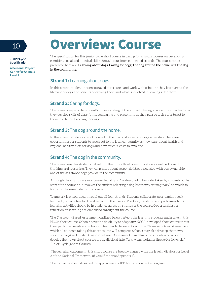

**A Personal Project: Caring for Animals Level 2**

### 10 Overview: Course

The specification for this junior cycle short course in caring for animals focuses on developing cognitive, social and practical skills through four inter-connected strands. The four strands presented here are: **Learning about dogs; Caring for dogs; The dog around the home** and **The dog in the community.** 

#### **Strand 1:** Learning about dogs.

In this strand, students are encouraged to research and work with others as they learn about the lifecycle of dogs, the benefits of owning them and what is involved in looking after them.

#### **Strand 2: Caring for dogs.**

This strand deepens the student's understanding of the animal. Through cross-curricular learning they develop skills of classifying, comparing and presenting as they pursue topics of interest to them in relation to caring for dogs.

#### **Strand 3:** The dog around the home.

In this strand, students are introduced to the practical aspects of dog ownership. There are opportunities for students to reach out to the local community as they learn about health and hygiene, healthy diets for dogs and how much it costs to own one.

#### **Strand 4:** The dog in the community.

This strand enables students to build further on skills of communication as well as those of thinking and reasoning. They learn more about responsibilities associated with dog ownership and of the assistance dogs provide in the community.

Although the strands are interconnected, strand 1 is designed to be undertaken by students at the start of the course as it involves the student selecting a dog (their own or imaginary) on which to focus for the remainder of the course.

Teamwork is encouraged throughout all four strands. Students collaborate, peer-explain, seek feedback, provide feedback and reflect on their work. Practical, hands-on and problem-solving learning activities should be in evidence across all strands of the course. Opportunities for reflection on learning are embedded throughout the course.

The Classroom-Based Assessment outlined below reflects the learning students undertake in this NCCA short course. Schools have the flexibility to adapt any NCCA-developed short course to suit their particular needs and school context, with the exception of the Classroom-Based Assessment, which all students taking this short course will complete. Schools may also develop their own short course(s) and related Classroom-Based Assessment. Guidelines for schools who wish to develop their own short courses are available at http://www.curriculumonline.ie/Junior-cycle/ Junior-Cycle\_Short-Courses.

 The learning outcomes in this short course are broadly aligned with the level indicators for Level 2 of the National Framework of Qualifications (Appendix 1).

The course has been designed for approximately 100 hours of student engagement.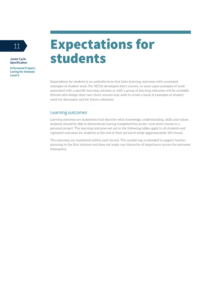**A Personal Project: Caring for Animals Level 2**

### 11 Expectations for students

*Expectations for students* is an umbrella term that links learning outcomes with annotated examples of student work. For NCCA-developed short courses, in some cases examples of work associated with a specific learning outcome or with a group of learning outcomes will be available. Schools who design their own short courses may wish to create a bank of examples of student work for discussion and for future reference.

#### Learning outcomes

*Learning outcomes* are statements that describe what knowledge, understanding, skills and values students should be able to demonstrate having completed this junior cycle short course in a personal project. The learning outcomes set out in the following tables apply to all students and represent outcomes for students at the end of their period of study (approximately 100 hours).

The outcomes are numbered within each strand. The numbering is intended to support teacher planning in the first instance and does not imply any hierarchy of importance across the outcomes themselves.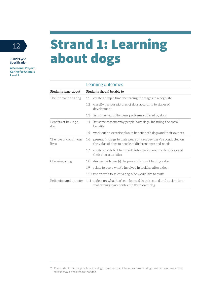**A Personal Project: Caring for Animals Level 2**

### 12 Strand 1: Learning about dogs

#### **Students learn about Students should be able to**  The life cycle of a dog 1.1 create a simple timeline tracing the stages in a dog's life 1.2 classify various pictures of dogs according to stages of development 1.3 list some health/hygiene problems suffered by dogs Benefits of having a dog 1.4 list some reasons why people have dogs, including the social benefits 1.5 work out an exercise plan to benefit both dogs and their owners The role of dogs in our lives 1.6 present findings to their peers of a survey they've conducted on the value of dogs to people of different ages and needs 1.7 create an artefact to provide information on breeds of dogs and their characteristics Choosing a dog 1.8 discuss with peer(s) the pros and cons of having a dog 1.9 relate to peers what's involved in looking after a dog 1.10 use criteria to select a dog s/he would like to  $own<sup>1</sup>$ Reflection and transfer 1.11 reflect on what has been learned in this strand and apply it in a real or imaginary context to their 'own' dog

<sup>2</sup> The student builds a profile of the dog chosen so that it becomes 'his/her dog'. Further learning in the course may be related to that dog.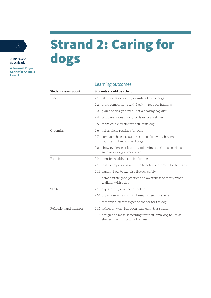**A Personal Project: Caring for Animals Level 2**

## 13 Strand 2: Caring for dogs

| Students learn about    | Students should be able to                                                                          |
|-------------------------|-----------------------------------------------------------------------------------------------------|
| Food                    | label foods as healthy or unhealthy for dogs<br>2.1                                                 |
|                         | draw comparisons with healthy food for humans<br>2.2                                                |
|                         | plan and design a menu for a healthy dog diet<br>2.3                                                |
|                         | compare prices of dog foods in local retailers<br>2.4                                               |
|                         | make edible treats for their 'own' dog<br>2.5                                                       |
| Grooming                | list hygiene routines for dogs<br>2.6                                                               |
|                         | compare the consequences of not following hygiene<br>2.7<br>routines in humans and dogs             |
|                         | show evidence of learning following a visit to a specialist,<br>2.8<br>such as a dog groomer or vet |
| Exercise                | identify healthy exercise for dogs<br>2.9                                                           |
|                         | 2.10 make comparisons with the benefits of exercise for humans                                      |
|                         | 2.11 explain how to exercise the dog safely                                                         |
|                         | 2.12 demonstrate good practice and awareness of safety when<br>walking with a dog                   |
| Shelter                 | 2.13 explain why dogs need shelter                                                                  |
|                         | 2.14 draw comparisons with humans needing shelter                                                   |
|                         | 2.15 research different types of shelter for the dog                                                |
| Reflection and transfer | 2.16 reflect on what has been learned in this strand                                                |
|                         | 2.17 design and make something for their 'own' dog to use as<br>shelter, warmth, comfort or fun     |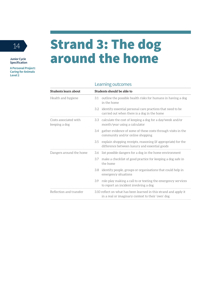**A Personal Project: Caring for Animals Level 2**

### 14 Strand 3: The dog around the home

| Students learn about                   | Students should be able to |                                                                                                                        |
|----------------------------------------|----------------------------|------------------------------------------------------------------------------------------------------------------------|
| Health and hygiene                     | 3.1                        | outline the possible health risks for humans in having a dog<br>in the home                                            |
|                                        |                            | 3.2 identify essential personal care practices that need to be<br>carried out when there is a dog in the home          |
| Costs associated with<br>keeping a dog | 3.3                        | calculate the cost of keeping a dog for a day/week and/or<br>month/year using a calculator                             |
|                                        | 3.4                        | gather evidence of some of these costs through visits in the<br>community and/or online shopping                       |
|                                        | 3.5                        | explain shopping receipts, reasoning (if appropriate) for the<br>difference between luxury and essential goods         |
| Dangers around the home                | 3.6                        | list possible dangers for a dog in the home environment                                                                |
|                                        | 3.7                        | make a checklist of good practice for keeping a dog safe in<br>the home                                                |
|                                        | 3.8                        | identify people, groups or organisations that could help in<br>emergency situations                                    |
|                                        | 3.9                        | role-play making a call to or texting the emergency services<br>to report an incident involving a dog                  |
| Reflection and transfer                |                            | 3.10 reflect on what has been learned in this strand and apply it<br>in a real or imaginary context to their 'own' dog |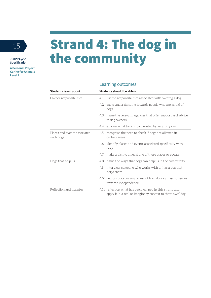**A Personal Project: Caring for Animals Level 2**

### 15 Strand 4: The dog in the community

| Students learn about                      | Students should be able to                                                                                             |  |
|-------------------------------------------|------------------------------------------------------------------------------------------------------------------------|--|
| Owner responsibilities                    | list the responsibilities associated with owning a dog<br>4.1                                                          |  |
|                                           | 4.2 show understanding towards people who are afraid of<br>dogs                                                        |  |
|                                           | name the relevant agencies that offer support and advice<br>4.3<br>to dog owners                                       |  |
|                                           | 4.4 explain what to do if confronted by an angry dog                                                                   |  |
| Places and events associated<br>with dogs | recognise the need to check if dogs are allowed in<br>4.5<br>certain areas                                             |  |
|                                           | 4.6 identify places and events associated specifically with<br>dogs                                                    |  |
|                                           | 4.7 make a visit to at least one of these places or events                                                             |  |
| Dogs that help us                         | name the ways that dogs can help us in the community<br>4.8                                                            |  |
|                                           | interview someone who works with or has a dog that<br>49<br>helps them                                                 |  |
|                                           | 4.10 demonstrate an awareness of how dogs can assist people<br>towards independence                                    |  |
| Reflection and transfer                   | 4.11 reflect on what has been learned in this strand and<br>apply it in a real or imaginary context to their 'own' dog |  |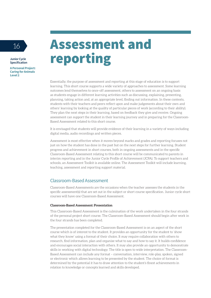**A Personal Project: Caring for Animals Level 2**

### 16 **Assessment and** reporting

Essentially, the purpose of assessment and reporting at this stage of education is to support learning. This short course supports a wide variety of approaches to assessment. Some learning outcomes lend themselves to once-off assessment, others to assessment on an ongoing basis as students engage in different learning activities such as discussing, explaining, presenting, planning, taking action and, at an appropriate level, finding out information. In these contexts, students with their teachers and peers reflect upon and make judgements about their own and others' learning by looking at the quality of particular pieces of work (according to their ability). They plan the next steps in their learning, based on feedback they give and receive. Ongoing assessment can support the student in their learning journey and in preparing for the Classroom-Based Assessment related to this short course.

It is envisaged that students will provide evidence of their learning in a variety of ways including digital media, audio recordings and written pieces.

Assessment is most effective when it moves beyond marks and grades and reporting focuses not just on how the student has done in the past but on the next steps for further learning. Student progress and achievement in short courses, both in ongoing assessments and in the specific Classroom-Based Assessment relating to this short course will be communicated to parents in interim reporting and in the Junior Cycle Profile of Achievement (JCPA). To support teachers and schools, an Assessment Toolkit is available online. The Assessment Toolkit will include learning, teaching, assessment and reporting support material.

#### Classroom-Based Assessment

Classroom-Based Assessments are the occasions when the teacher assesses the students in the specific assessment(s) that are set out in the subject or short course specification. Junior cycle short courses will have one Classroom-Based Assessment.

#### **Classroom-Based Assessment: Presentation**

This Classroom-Based Assessment is the culmination of the work undertaken in the four strands of the personal project short course. The Classroom-Based Assessment should begin after work in the four strands has been completed.

The presentation completed for the Classroom-Based Assessment is on an aspect of the short course which is of interest to the student. It provides an opportunity for the student to 'show what they know' using a format of their choice. It may require collaboration with others to research, find information, plan and organise what to say and how to say it. It builds confidence and encourages social interaction with others. It may also provide an opportunity to demonstrate skills in working with digital technology. The title is open to wide interpretation. The Classroom-Based Assessment can include any format – conversation, interview, role-play, spoken, signed or electronic which allows learning to be presented by the student. The choice of format is determined by the potential it has to draw attention to the student's finest achievements in relation to knowledge or concepts learned and skills developed.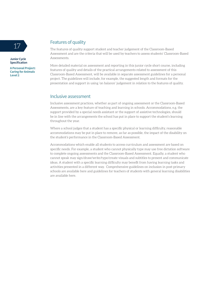

**A Personal Project: Caring for Animals Level 2**

### 17 Features of quality

The features of quality support student and teacher judgement of the Classroom-Based Assessment and are the criteria that will be used by teachers to assess students' Classroom-Based Assessments.

More detailed material on assessment and reporting in this junior cycle short course, including features of quality and details of the practical arrangements related to assessment of this Classroom-Based Assessment, will be available in separate assessment guidelines for a personal project. The guidelines will include, for example, the suggested length and formats for the presentation and support in using 'on balance' judgement in relation to the features of quality.

#### Inclusive assessment

Inclusive assessment practices, whether as part of ongoing assessment or the Classroom-Based Assessments, are a key feature of teaching and learning in schools. Accommodations, e.g. the support provided by a special needs assistant or the support of assistive technologies, should be in line with the arrangements the school has put in place to support the student's learning throughout the year.

Where a school judges that a student has a specific physical or learning difficulty, reasonable accommodations may be put in place to remove, as far as possible, the impact of the disability on the student's performance in the Classroom-Based Assessment.

Accommodations which enable all students to access curriculum and assessment are based on specific needs. For example, a student who cannot physically type may use free dictation software to complete ongoing assessments and the Classroom-Based Assessment. Equally, a student who cannot speak may sign/draw/write/type/create visuals and subtitles to present and communicate ideas. A student with a specific learning difficulty may benefit from having learning tasks and activities presented in a different way. Comprehensive guidelines on inclusion in post-primary schools are available here and guidelines for teachers of students with general learning disabilities are available here.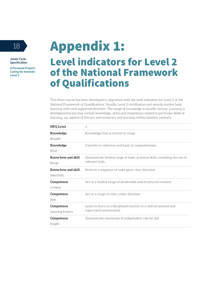**A Personal Project: Caring for Animals Level 2**

### 18 **Appendix 1:** Level indicators for Level 2 of the National Framework of Qualifications

This short course has been developed in alignment with the level indicators for Level 2 of the National Framework of Qualifications. Usually, Level 2 certification and awards involve basic learning with well-supported direction. The range of knowledge is usually narrow. Learning is developmental but may include knowledge, skills and competence related to particular fields of learning, e.g. aspects of literacy and numeracy and learning within familiar contexts.

| <b>NFQ Level</b>                  | $\mathfrak{D}$                                                                               |
|-----------------------------------|----------------------------------------------------------------------------------------------|
| Knowledge<br>Breadth              | Knowledge that is narrow in range                                                            |
| Knowledge<br>Kind                 | Concrete in reference and basic in comprehension                                             |
| Know-how and skill<br>Range       | Demonstrate limited range of basic, practical skills, including the use of<br>relevant tools |
| Know-how and skill<br>Selectivity | Perform a sequence of tasks given clear direction                                            |
| Competence<br>Context             | Act in a limited range of predictable and structured contexts                                |
| Competence<br>Role                | Act in a range of roles, under direction                                                     |
| Competence<br>Learning to learn   | Learn to learn in a disciplined manner in a well-structured and<br>supervised environment    |
| Competence<br>Insight             | Demonstrate awareness of independent role for self                                           |
|                                   |                                                                                              |